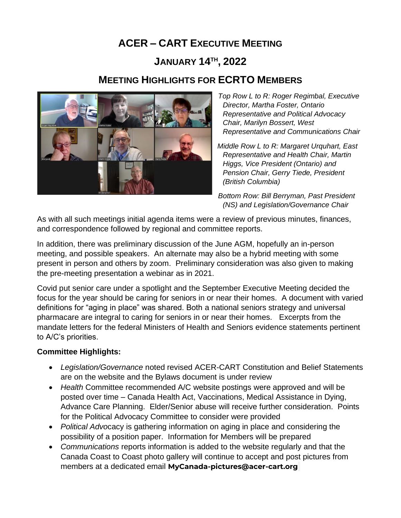# **ACER – CART EXECUTIVE MEETING**

## **JANUARY 14TH , 2022**

### **MEETING HIGHLIGHTS FOR ECRTO MEMBERS**



*Top Row L to R: Roger Regimbal, Executive Director, Martha Foster, Ontario Representative and Political Advocacy Chair, Marilyn Bossert, West Representative and Communications Chair*

 *Middle Row L to R: Margaret Urquhart, East Representative and Health Chair, Martin Higgs, Vice President (Ontario) and Pension Chair, Gerry Tiede, President (British Columbia)*

*Bottom Row: Bill Berryman, Past President (NS) and Legislation/Governance Chair*

As with all such meetings initial agenda items were a review of previous minutes, finances, and correspondence followed by regional and committee reports.

In addition, there was preliminary discussion of the June AGM, hopefully an in-person meeting, and possible speakers. An alternate may also be a hybrid meeting with some present in person and others by zoom. Preliminary consideration was also given to making the pre-meeting presentation a webinar as in 2021.

Covid put senior care under a spotlight and the September Executive Meeting decided the focus for the year should be caring for seniors in or near their homes. A document with varied definitions for "aging in place" was shared. Both a national seniors strategy and universal pharmacare are integral to caring for seniors in or near their homes. Excerpts from the mandate letters for the federal Ministers of Health and Seniors evidence statements pertinent to A/C's priorities.

#### **Committee Highlights:**

- *Legislation/Governance* noted revised ACER-CART Constitution and Belief Statements are on the website and the Bylaws document is under review
- *Health* Committee recommended A/C website postings were approved and will be posted over time – Canada Health Act, Vaccinations, Medical Assistance in Dying, Advance Care Planning. Elder/Senior abuse will receive further consideration. Points for the Political Advocacy Committee to consider were provided
- *Political Advo*cacy is gathering information on aging in place and considering the possibility of a position paper. Information for Members will be prepared
- *Communications* reports information is added to the website regularly and that the Canada Coast to Coast photo gallery will continue to accept and post pictures from members at a dedicated email **[MyCanada-pictures@acer-cart.org](mailto:MyCanada-pictures@acer-cart.org)**